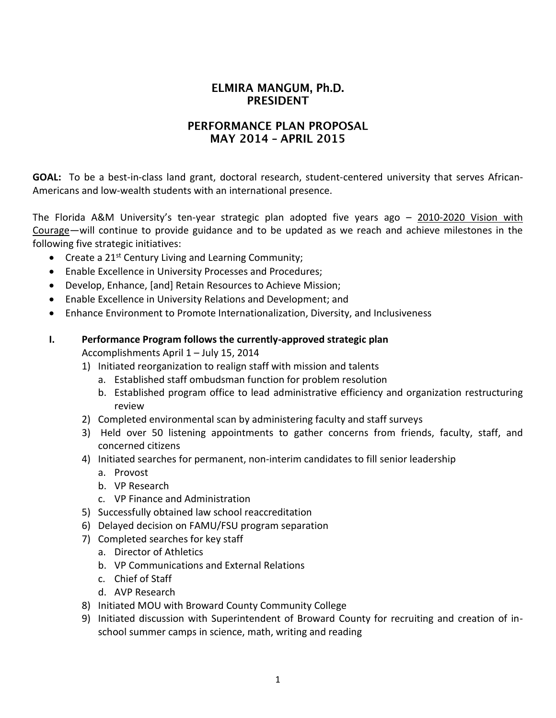# ELMIRA MANGUM, Ph.D. **PRESIDENT**

### PERFORMANCE PLAN PROPOSAL **MAY 2014 - APRIL 2015**

**GOAL:** To be a best-in-class land grant, doctoral research, student-centered university that serves African-Americans and low-wealth students with an international presence.

The Florida A&M University's ten-year strategic plan adopted five years ago – 2010-2020 Vision with Courage—will continue to provide guidance and to be updated as we reach and achieve milestones in the following five strategic initiatives:

- Create a  $21^{st}$  Century Living and Learning Community;
- Enable Excellence in University Processes and Procedures;
- Develop, Enhance, [and] Retain Resources to Achieve Mission;
- Enable Excellence in University Relations and Development; and
- Enhance Environment to Promote Internationalization, Diversity, and Inclusiveness
- **I. Performance Program follows the currently-approved strategic plan** Accomplishments April 1 – July 15, 2014
	- 1) Initiated reorganization to realign staff with mission and talents
		- a. Established staff ombudsman function for problem resolution
		- b. Established program office to lead administrative efficiency and organization restructuring review
	- 2) Completed environmental scan by administering faculty and staff surveys
	- 3) Held over 50 listening appointments to gather concerns from friends, faculty, staff, and concerned citizens
	- 4) Initiated searches for permanent, non-interim candidates to fill senior leadership
		- a. Provost
		- b. VP Research
		- c. VP Finance and Administration
	- 5) Successfully obtained law school reaccreditation
	- 6) Delayed decision on FAMU/FSU program separation
	- 7) Completed searches for key staff
		- a. Director of Athletics
		- b. VP Communications and External Relations
		- c. Chief of Staff
		- d. AVP Research
	- 8) Initiated MOU with Broward County Community College
	- 9) Initiated discussion with Superintendent of Broward County for recruiting and creation of inschool summer camps in science, math, writing and reading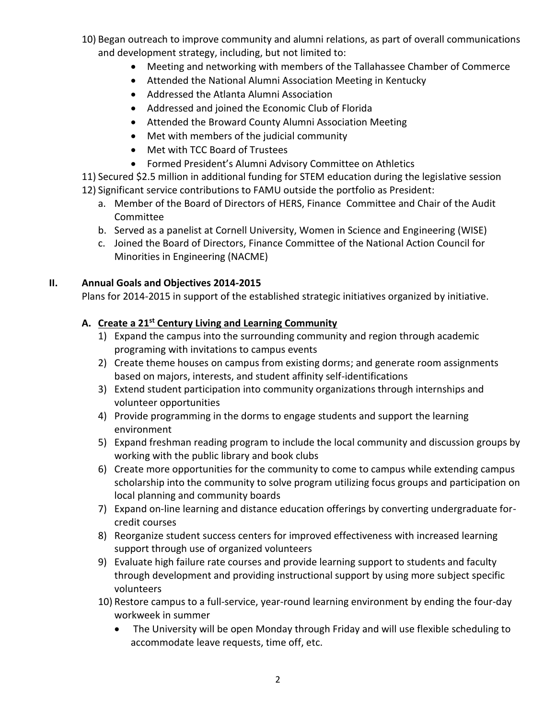- 10) Began outreach to improve community and alumni relations, as part of overall communications and development strategy, including, but not limited to:
	- Meeting and networking with members of the Tallahassee Chamber of Commerce
	- Attended the National Alumni Association Meeting in Kentucky
	- Addressed the Atlanta Alumni Association
	- Addressed and joined the Economic Club of Florida
	- Attended the Broward County Alumni Association Meeting
	- Met with members of the judicial community
	- Met with TCC Board of Trustees
	- Formed President's Alumni Advisory Committee on Athletics
- 11) Secured \$2.5 million in additional funding for STEM education during the legislative session
- 12) Significant service contributions to FAMU outside the portfolio as President:
	- a. Member of the Board of Directors of HERS, Finance Committee and Chair of the Audit Committee
	- b. Served as a panelist at Cornell University, Women in Science and Engineering (WISE)
	- c. Joined the Board of Directors, Finance Committee of the National Action Council for Minorities in Engineering (NACME)

#### **II. Annual Goals and Objectives 2014-2015**

Plans for 2014-2015 in support of the established strategic initiatives organized by initiative.

#### **A. Create a 21st Century Living and Learning Community**

- 1) Expand the campus into the surrounding community and region through academic programing with invitations to campus events
- 2) Create theme houses on campus from existing dorms; and generate room assignments based on majors, interests, and student affinity self-identifications
- 3) Extend student participation into community organizations through internships and volunteer opportunities
- 4) Provide programming in the dorms to engage students and support the learning environment
- 5) Expand freshman reading program to include the local community and discussion groups by working with the public library and book clubs
- 6) Create more opportunities for the community to come to campus while extending campus scholarship into the community to solve program utilizing focus groups and participation on local planning and community boards
- 7) Expand on-line learning and distance education offerings by converting undergraduate forcredit courses
- 8) Reorganize student success centers for improved effectiveness with increased learning support through use of organized volunteers
- 9) Evaluate high failure rate courses and provide learning support to students and faculty through development and providing instructional support by using more subject specific volunteers
- 10) Restore campus to a full-service, year-round learning environment by ending the four-day workweek in summer
	- The University will be open Monday through Friday and will use flexible scheduling to accommodate leave requests, time off, etc.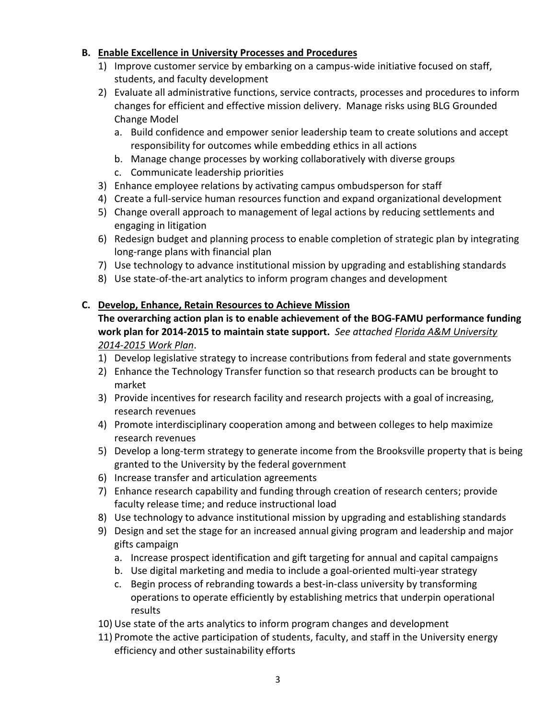#### **B. Enable Excellence in University Processes and Procedures**

- 1) Improve customer service by embarking on a campus-wide initiative focused on staff, students, and faculty development
- 2) Evaluate all administrative functions, service contracts, processes and procedures to inform changes for efficient and effective mission delivery. Manage risks using BLG Grounded Change Model
	- a. Build confidence and empower senior leadership team to create solutions and accept responsibility for outcomes while embedding ethics in all actions
	- b. Manage change processes by working collaboratively with diverse groups
	- c. Communicate leadership priorities
- 3) Enhance employee relations by activating campus ombudsperson for staff
- 4) Create a full-service human resources function and expand organizational development
- 5) Change overall approach to management of legal actions by reducing settlements and engaging in litigation
- 6) Redesign budget and planning process to enable completion of strategic plan by integrating long-range plans with financial plan
- 7) Use technology to advance institutional mission by upgrading and establishing standards
- 8) Use state-of-the-art analytics to inform program changes and development

### **C. Develop, Enhance, Retain Resources to Achieve Mission**

# **The overarching action plan is to enable achievement of the BOG-FAMU performance funding work plan for 2014-2015 to maintain state support.** *See attached Florida A&M University 2014-2015 Work Plan*.

- 1) Develop legislative strategy to increase contributions from federal and state governments
- 2) Enhance the Technology Transfer function so that research products can be brought to market
- 3) Provide incentives for research facility and research projects with a goal of increasing, research revenues
- 4) Promote interdisciplinary cooperation among and between colleges to help maximize research revenues
- 5) Develop a long-term strategy to generate income from the Brooksville property that is being granted to the University by the federal government
- 6) Increase transfer and articulation agreements
- 7) Enhance research capability and funding through creation of research centers; provide faculty release time; and reduce instructional load
- 8) Use technology to advance institutional mission by upgrading and establishing standards
- 9) Design and set the stage for an increased annual giving program and leadership and major gifts campaign
	- a. Increase prospect identification and gift targeting for annual and capital campaigns
	- b. Use digital marketing and media to include a goal-oriented multi-year strategy
	- c. Begin process of rebranding towards a best-in-class university by transforming operations to operate efficiently by establishing metrics that underpin operational results
- 10) Use state of the arts analytics to inform program changes and development
- 11) Promote the active participation of students, faculty, and staff in the University energy efficiency and other sustainability efforts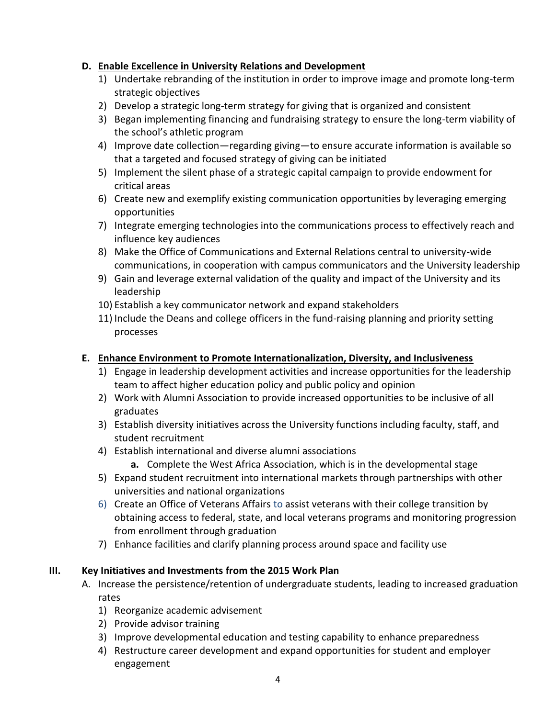### **D. Enable Excellence in University Relations and Development**

- 1) Undertake rebranding of the institution in order to improve image and promote long-term strategic objectives
- 2) Develop a strategic long-term strategy for giving that is organized and consistent
- 3) Began implementing financing and fundraising strategy to ensure the long-term viability of the school's athletic program
- 4) Improve date collection—regarding giving—to ensure accurate information is available so that a targeted and focused strategy of giving can be initiated
- 5) Implement the silent phase of a strategic capital campaign to provide endowment for critical areas
- 6) Create new and exemplify existing communication opportunities by leveraging emerging opportunities
- 7) Integrate emerging technologies into the communications process to effectively reach and influence key audiences
- 8) Make the Office of Communications and External Relations central to university-wide communications, in cooperation with campus communicators and the University leadership
- 9) Gain and leverage external validation of the quality and impact of the University and its leadership
- 10) Establish a key communicator network and expand stakeholders
- 11) Include the Deans and college officers in the fund-raising planning and priority setting processes

## **E. Enhance Environment to Promote Internationalization, Diversity, and Inclusiveness**

- 1) Engage in leadership development activities and increase opportunities for the leadership team to affect higher education policy and public policy and opinion
- 2) Work with Alumni Association to provide increased opportunities to be inclusive of all graduates
- 3) Establish diversity initiatives across the University functions including faculty, staff, and student recruitment
- 4) Establish international and diverse alumni associations
	- **a.** Complete the West Africa Association, which is in the developmental stage
- 5) Expand student recruitment into international markets through partnerships with other universities and national organizations
- 6) Create an Office of Veterans Affairs to assist veterans with their college transition by obtaining access to federal, state, and local veterans programs and monitoring progression from enrollment through graduation
- 7) Enhance facilities and clarify planning process around space and facility use

# **III. Key Initiatives and Investments from the 2015 Work Plan**

- A. Increase the persistence/retention of undergraduate students, leading to increased graduation rates
	- 1) Reorganize academic advisement
	- 2) Provide advisor training
	- 3) Improve developmental education and testing capability to enhance preparedness
	- 4) Restructure career development and expand opportunities for student and employer engagement